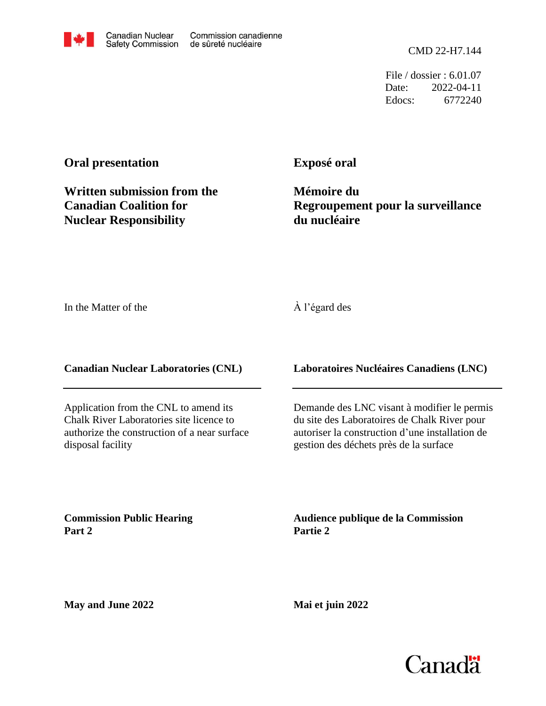File / dossier : 6.01.07 Date: 2022-04-11 Edocs: 6772240

### **Oral presentation**

**Exposé oral**

**Written submission from the Canadian Coalition for Nuclear Responsibility**

**Mémoire du Regroupement pour la surveillance du nucléaire**

In the Matter of the

#### À l'égard des

**Canadian Nuclear Laboratories (CNL)**

Application from the CNL to amend its Chalk River Laboratories site licence to authorize the construction of a near surface disposal facility

**Laboratoires Nucléaires Canadiens (LNC)**

Demande des LNC visant à modifier le permis du site des Laboratoires de Chalk River pour autoriser la construction d'une installation de gestion des déchets près de la surface

**Commission Public Hearing Part 2**

**Audience publique de la Commission Partie 2**

**May and June 2022**

**Mai et juin 2022**

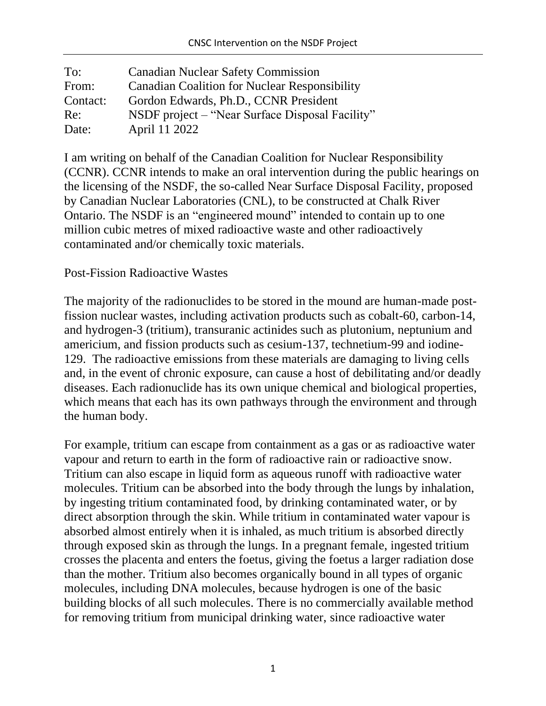| To:      | <b>Canadian Nuclear Safety Commission</b>            |
|----------|------------------------------------------------------|
| From:    | <b>Canadian Coalition for Nuclear Responsibility</b> |
| Contact: | Gordon Edwards, Ph.D., CCNR President                |
| Re:      | NSDF project – "Near Surface Disposal Facility"      |
| Date:    | April 11 2022                                        |

I am writing on behalf of the Canadian Coalition for Nuclear Responsibility (CCNR). CCNR intends to make an oral intervention during the public hearings on the licensing of the NSDF, the so-called Near Surface Disposal Facility, proposed by Canadian Nuclear Laboratories (CNL), to be constructed at Chalk River Ontario. The NSDF is an "engineered mound" intended to contain up to one million cubic metres of mixed radioactive waste and other radioactively contaminated and/or chemically toxic materials.

### Post-Fission Radioactive Wastes

The majority of the radionuclides to be stored in the mound are human-made postfission nuclear wastes, including activation products such as cobalt-60, carbon-14, and hydrogen-3 (tritium), transuranic actinides such as plutonium, neptunium and americium, and fission products such as cesium-137, technetium-99 and iodine-129. The radioactive emissions from these materials are damaging to living cells and, in the event of chronic exposure, can cause a host of debilitating and/or deadly diseases. Each radionuclide has its own unique chemical and biological properties, which means that each has its own pathways through the environment and through the human body.

For example, tritium can escape from containment as a gas or as radioactive water vapour and return to earth in the form of radioactive rain or radioactive snow. Tritium can also escape in liquid form as aqueous runoff with radioactive water molecules. Tritium can be absorbed into the body through the lungs by inhalation, by ingesting tritium contaminated food, by drinking contaminated water, or by direct absorption through the skin. While tritium in contaminated water vapour is absorbed almost entirely when it is inhaled, as much tritium is absorbed directly through exposed skin as through the lungs. In a pregnant female, ingested tritium crosses the placenta and enters the foetus, giving the foetus a larger radiation dose than the mother. Tritium also becomes organically bound in all types of organic molecules, including DNA molecules, because hydrogen is one of the basic building blocks of all such molecules. There is no commercially available method for removing tritium from municipal drinking water, since radioactive water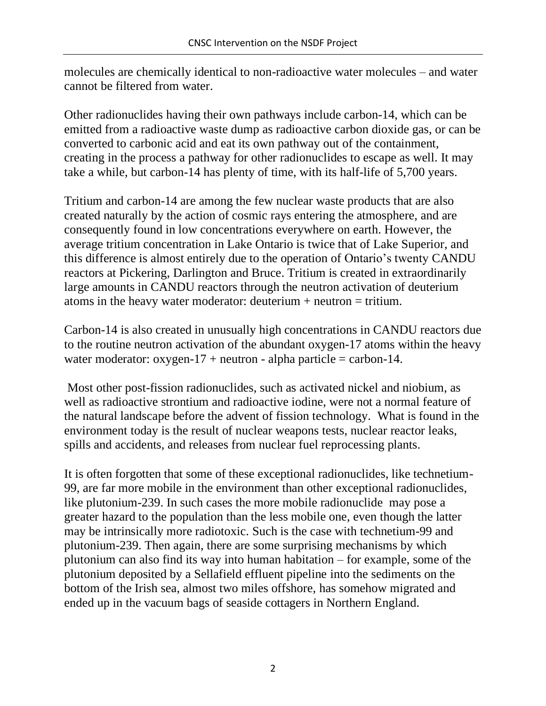molecules are chemically identical to non-radioactive water molecules – and water cannot be filtered from water.

Other radionuclides having their own pathways include carbon-14, which can be emitted from a radioactive waste dump as radioactive carbon dioxide gas, or can be converted to carbonic acid and eat its own pathway out of the containment, creating in the process a pathway for other radionuclides to escape as well. It may take a while, but carbon-14 has plenty of time, with its half-life of 5,700 years.

Tritium and carbon-14 are among the few nuclear waste products that are also created naturally by the action of cosmic rays entering the atmosphere, and are consequently found in low concentrations everywhere on earth. However, the average tritium concentration in Lake Ontario is twice that of Lake Superior, and this difference is almost entirely due to the operation of Ontario's twenty CANDU reactors at Pickering, Darlington and Bruce. Tritium is created in extraordinarily large amounts in CANDU reactors through the neutron activation of deuterium atoms in the heavy water moderator: deuterium  $+$  neutron  $=$  tritium.

Carbon-14 is also created in unusually high concentrations in CANDU reactors due to the routine neutron activation of the abundant oxygen-17 atoms within the heavy water moderator:  $oxygen-17 + neutron - alpha particle = carbon-14$ .

Most other post-fission radionuclides, such as activated nickel and niobium, as well as radioactive strontium and radioactive iodine, were not a normal feature of the natural landscape before the advent of fission technology. What is found in the environment today is the result of nuclear weapons tests, nuclear reactor leaks, spills and accidents, and releases from nuclear fuel reprocessing plants.

It is often forgotten that some of these exceptional radionuclides, like technetium-99, are far more mobile in the environment than other exceptional radionuclides, like plutonium-239. In such cases the more mobile radionuclide may pose a greater hazard to the population than the less mobile one, even though the latter may be intrinsically more radiotoxic. Such is the case with technetium-99 and plutonium-239. Then again, there are some surprising mechanisms by which plutonium can also find its way into human habitation – for example, some of the plutonium deposited by a Sellafield effluent pipeline into the sediments on the bottom of the Irish sea, almost two miles offshore, has somehow migrated and ended up in the vacuum bags of seaside cottagers in Northern England.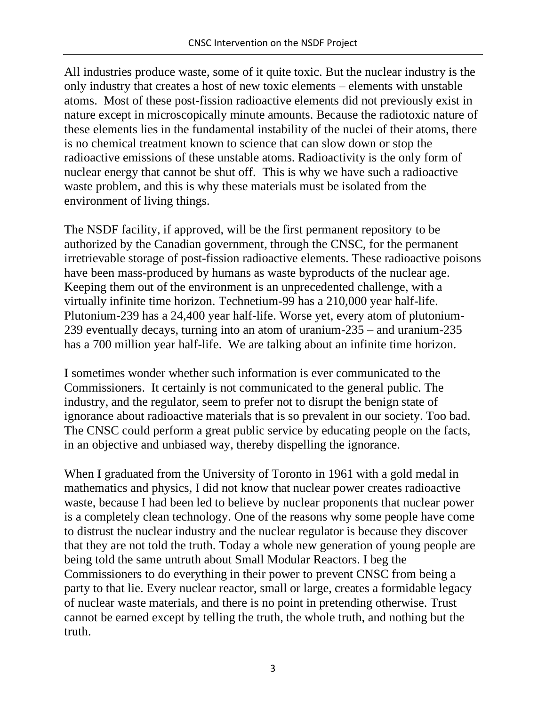All industries produce waste, some of it quite toxic. But the nuclear industry is the only industry that creates a host of new toxic elements – elements with unstable atoms. Most of these post-fission radioactive elements did not previously exist in nature except in microscopically minute amounts. Because the radiotoxic nature of these elements lies in the fundamental instability of the nuclei of their atoms, there is no chemical treatment known to science that can slow down or stop the radioactive emissions of these unstable atoms. Radioactivity is the only form of nuclear energy that cannot be shut off. This is why we have such a radioactive waste problem, and this is why these materials must be isolated from the environment of living things.

The NSDF facility, if approved, will be the first permanent repository to be authorized by the Canadian government, through the CNSC, for the permanent irretrievable storage of post-fission radioactive elements. These radioactive poisons have been mass-produced by humans as waste byproducts of the nuclear age. Keeping them out of the environment is an unprecedented challenge, with a virtually infinite time horizon. Technetium-99 has a 210,000 year half-life. Plutonium-239 has a 24,400 year half-life. Worse yet, every atom of plutonium-239 eventually decays, turning into an atom of uranium-235 – and uranium-235 has a 700 million year half-life. We are talking about an infinite time horizon.

I sometimes wonder whether such information is ever communicated to the Commissioners. It certainly is not communicated to the general public. The industry, and the regulator, seem to prefer not to disrupt the benign state of ignorance about radioactive materials that is so prevalent in our society. Too bad. The CNSC could perform a great public service by educating people on the facts, in an objective and unbiased way, thereby dispelling the ignorance.

When I graduated from the University of Toronto in 1961 with a gold medal in mathematics and physics, I did not know that nuclear power creates radioactive waste, because I had been led to believe by nuclear proponents that nuclear power is a completely clean technology. One of the reasons why some people have come to distrust the nuclear industry and the nuclear regulator is because they discover that they are not told the truth. Today a whole new generation of young people are being told the same untruth about Small Modular Reactors. I beg the Commissioners to do everything in their power to prevent CNSC from being a party to that lie. Every nuclear reactor, small or large, creates a formidable legacy of nuclear waste materials, and there is no point in pretending otherwise. Trust cannot be earned except by telling the truth, the whole truth, and nothing but the truth.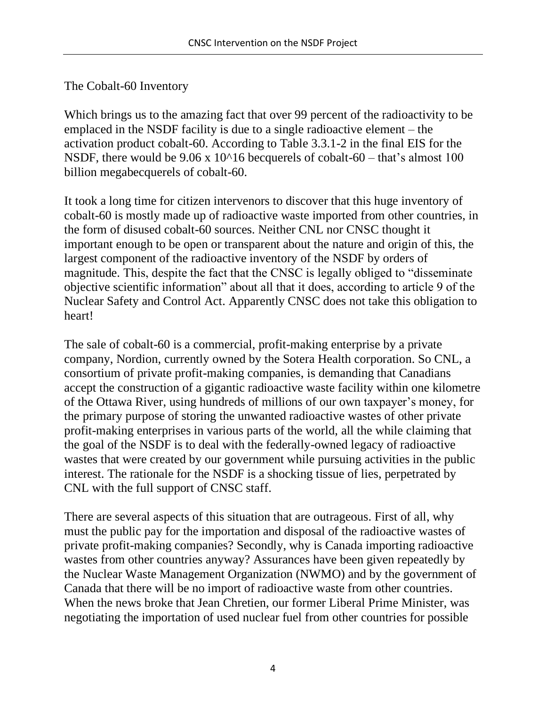## The Cobalt-60 Inventory

Which brings us to the amazing fact that over 99 percent of the radioactivity to be emplaced in the NSDF facility is due to a single radioactive element – the activation product cobalt-60. According to Table 3.3.1-2 in the final EIS for the NSDF, there would be  $9.06 \times 10^{16}$  becquerels of cobalt-60 – that's almost 100 billion megabecquerels of cobalt-60.

It took a long time for citizen intervenors to discover that this huge inventory of cobalt-60 is mostly made up of radioactive waste imported from other countries, in the form of disused cobalt-60 sources. Neither CNL nor CNSC thought it important enough to be open or transparent about the nature and origin of this, the largest component of the radioactive inventory of the NSDF by orders of magnitude. This, despite the fact that the CNSC is legally obliged to "disseminate objective scientific information" about all that it does, according to article 9 of the Nuclear Safety and Control Act. Apparently CNSC does not take this obligation to heart!

The sale of cobalt-60 is a commercial, profit-making enterprise by a private company, Nordion, currently owned by the Sotera Health corporation. So CNL, a consortium of private profit-making companies, is demanding that Canadians accept the construction of a gigantic radioactive waste facility within one kilometre of the Ottawa River, using hundreds of millions of our own taxpayer's money, for the primary purpose of storing the unwanted radioactive wastes of other private profit-making enterprises in various parts of the world, all the while claiming that the goal of the NSDF is to deal with the federally-owned legacy of radioactive wastes that were created by our government while pursuing activities in the public interest. The rationale for the NSDF is a shocking tissue of lies, perpetrated by CNL with the full support of CNSC staff.

There are several aspects of this situation that are outrageous. First of all, why must the public pay for the importation and disposal of the radioactive wastes of private profit-making companies? Secondly, why is Canada importing radioactive wastes from other countries anyway? Assurances have been given repeatedly by the Nuclear Waste Management Organization (NWMO) and by the government of Canada that there will be no import of radioactive waste from other countries. When the news broke that Jean Chretien, our former Liberal Prime Minister, was negotiating the importation of used nuclear fuel from other countries for possible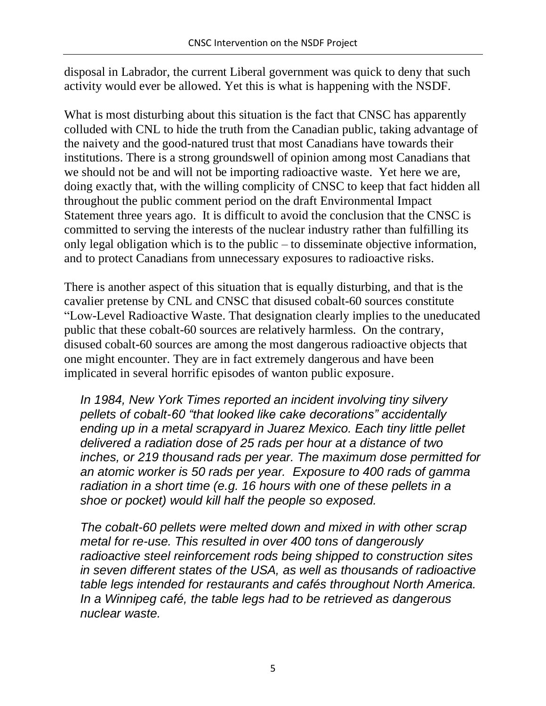disposal in Labrador, the current Liberal government was quick to deny that such activity would ever be allowed. Yet this is what is happening with the NSDF.

What is most disturbing about this situation is the fact that CNSC has apparently colluded with CNL to hide the truth from the Canadian public, taking advantage of the naivety and the good-natured trust that most Canadians have towards their institutions. There is a strong groundswell of opinion among most Canadians that we should not be and will not be importing radioactive waste. Yet here we are, doing exactly that, with the willing complicity of CNSC to keep that fact hidden all throughout the public comment period on the draft Environmental Impact Statement three years ago. It is difficult to avoid the conclusion that the CNSC is committed to serving the interests of the nuclear industry rather than fulfilling its only legal obligation which is to the public – to disseminate objective information, and to protect Canadians from unnecessary exposures to radioactive risks.

There is another aspect of this situation that is equally disturbing, and that is the cavalier pretense by CNL and CNSC that disused cobalt-60 sources constitute "Low-Level Radioactive Waste. That designation clearly implies to the uneducated public that these cobalt-60 sources are relatively harmless. On the contrary, disused cobalt-60 sources are among the most dangerous radioactive objects that one might encounter. They are in fact extremely dangerous and have been implicated in several horrific episodes of wanton public exposure.

*In 1984, New York Times reported an incident involving tiny silvery pellets of cobalt-60 "that looked like cake decorations" accidentally ending up in a metal scrapyard in Juarez Mexico. Each tiny little pellet delivered a radiation dose of 25 rads per hour at a distance of two inches, or 219 thousand rads per year. The maximum dose permitted for an atomic worker is 50 rads per year. Exposure to 400 rads of gamma radiation in a short time (e.g. 16 hours with one of these pellets in a shoe or pocket) would kill half the people so exposed.*

*The cobalt-60 pellets were melted down and mixed in with other scrap metal for re-use. This resulted in over 400 tons of dangerously radioactive steel reinforcement rods being shipped to construction sites in seven different states of the USA, as well as thousands of radioactive table legs intended for restaurants and cafés throughout North America. In a Winnipeg café, the table legs had to be retrieved as dangerous nuclear waste.*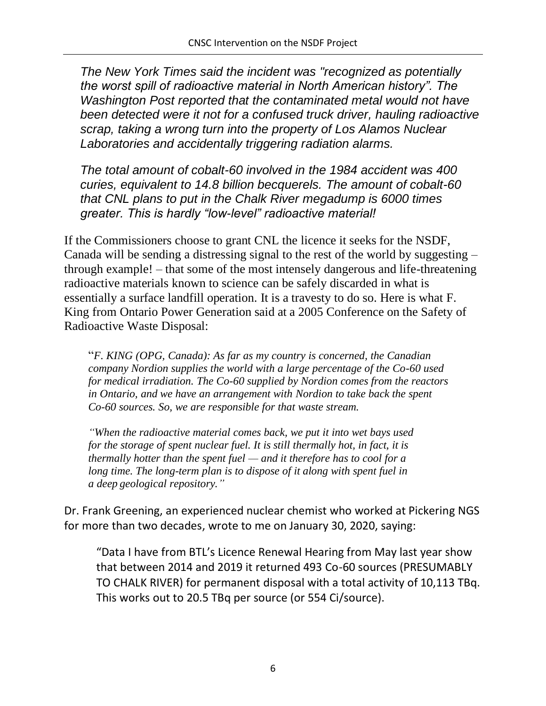*The New York Times said the incident was "recognized as potentially the worst spill of radioactive material in North American history". The Washington Post reported that the contaminated metal would not have been detected were it not for a confused truck driver, hauling radioactive scrap, taking a wrong turn into the property of Los Alamos Nuclear Laboratories and accidentally triggering radiation alarms.*

*The total amount of cobalt-60 involved in the 1984 accident was 400 curies, equivalent to 14.8 billion becquerels. The amount of cobalt-60 that CNL plans to put in the Chalk River megadump is 6000 times greater. This is hardly "low-level" radioactive material!*

If the Commissioners choose to grant CNL the licence it seeks for the NSDF, Canada will be sending a distressing signal to the rest of the world by suggesting – through example! – that some of the most intensely dangerous and life-threatening radioactive materials known to science can be safely discarded in what is essentially a surface landfill operation. It is a travesty to do so. Here is what F. King from Ontario Power Generation said at a 2005 Conference on the Safety of Radioactive Waste Disposal:

"*F. KING (OPG, Canada): As far as my country is concerned, the Canadian company Nordion supplies the world with a large percentage of the Co-60 used for medical irradiation. The Co-60 supplied by Nordion comes from the reactors in Ontario, and we have an arrangement with Nordion to take back the spent Co-60 sources. So, we are responsible for that waste stream.*

*"When the radioactive material comes back, we put it into wet bays used for the storage of spent nuclear fuel. It is still thermally hot, in fact, it is thermally hotter than the spent fuel — and it therefore has to cool for a long time. The long-term plan is to dispose of it along with spent fuel in a deep geological repository."*

Dr. Frank Greening, an experienced nuclear chemist who worked at Pickering NGS for more than two decades, wrote to me on January 30, 2020, saying:

"Data I have from BTL's Licence Renewal Hearing from May last year show that between 2014 and 2019 it returned 493 Co-60 sources (PRESUMABLY TO CHALK RIVER) for permanent disposal with a total activity of 10,113 TBq. This works out to 20.5 TBq per source (or 554 Ci/source).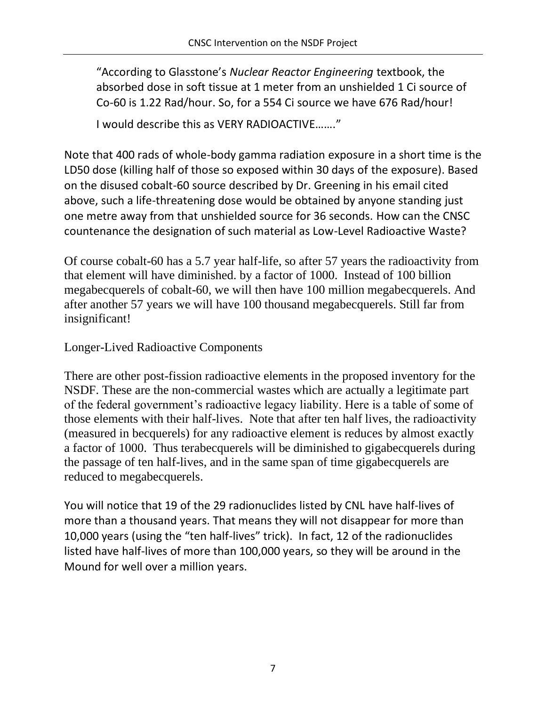"According to Glasstone's *Nuclear Reactor Engineering* textbook, the absorbed dose in soft tissue at 1 meter from an unshielded 1 Ci source of Co-60 is 1.22 Rad/hour. So, for a 554 Ci source we have 676 Rad/hour!

I would describe this as VERY RADIOACTIVE……."

Note that 400 rads of whole-body gamma radiation exposure in a short time is the LD50 dose (killing half of those so exposed within 30 days of the exposure). Based on the disused cobalt-60 source described by Dr. Greening in his email cited above, such a life-threatening dose would be obtained by anyone standing just one metre away from that unshielded source for 36 seconds. How can the CNSC countenance the designation of such material as Low-Level Radioactive Waste?

Of course cobalt-60 has a 5.7 year half-life, so after 57 years the radioactivity from that element will have diminished. by a factor of 1000. Instead of 100 billion megabecquerels of cobalt-60, we will then have 100 million megabecquerels. And after another 57 years we will have 100 thousand megabecquerels. Still far from insignificant!

# Longer-Lived Radioactive Components

There are other post-fission radioactive elements in the proposed inventory for the NSDF. These are the non-commercial wastes which are actually a legitimate part of the federal government's radioactive legacy liability. Here is a table of some of those elements with their half-lives. Note that after ten half lives, the radioactivity (measured in becquerels) for any radioactive element is reduces by almost exactly a factor of 1000. Thus terabecquerels will be diminished to gigabecquerels during the passage of ten half-lives, and in the same span of time gigabecquerels are reduced to megabecquerels.

You will notice that 19 of the 29 radionuclides listed by CNL have half-lives of more than a thousand years. That means they will not disappear for more than 10,000 years (using the "ten half-lives" trick). In fact, 12 of the radionuclides listed have half-lives of more than 100,000 years, so they will be around in the Mound for well over a million years.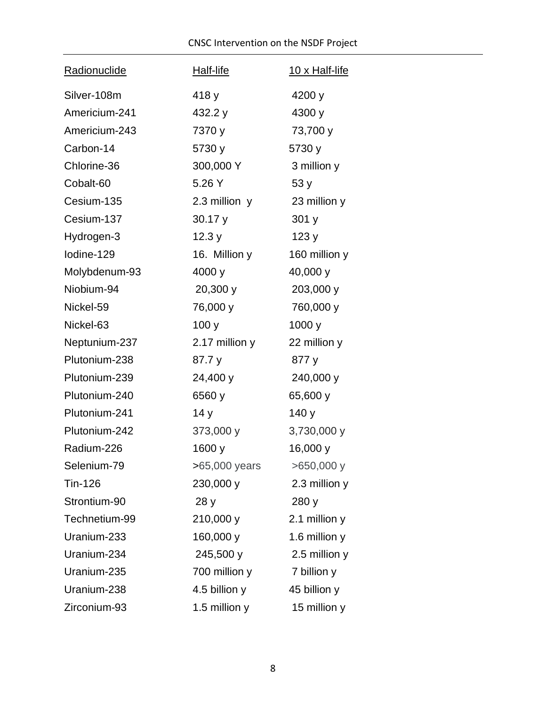| <b>Radionuclide</b> | Half-life       | 10 x Half-life |
|---------------------|-----------------|----------------|
| Silver-108m         | 418 y           | 4200 y         |
| Americium-241       | 432.2 y         | 4300 y         |
| Americium-243       | 7370 y          | 73,700 y       |
| Carbon-14           | 5730 y          | 5730 y         |
| Chlorine-36         | 300,000 Y       | 3 million y    |
| Cobalt-60           | 5.26 Y          | 53y            |
| Cesium-135          | 2.3 million $y$ | 23 million y   |
| Cesium-137          | 30.17y          | 301 y          |
| Hydrogen-3          | 12.3y           | 123y           |
| lodine-129          | 16. Million y   | 160 million y  |
| Molybdenum-93       | 4000 y          | 40,000 y       |
| Niobium-94          | 20,300 y        | 203,000 y      |
| Nickel-59           | 76,000 y        | 760,000 y      |
| Nickel-63           | 100y            | 1000 y         |
| Neptunium-237       | 2.17 million y  | 22 million y   |
| Plutonium-238       | 87.7 y          | 877 y          |
| Plutonium-239       | 24,400 y        | 240,000 y      |
| Plutonium-240       | 6560 y          | 65,600 y       |
| Plutonium-241       | 14y             | 140 y          |
| Plutonium-242       | 373,000 y       | 3,730,000 y    |
| Radium-226          | 1600 y          | 16,000 y       |
| Selenium-79         | >65,000 years   | $>650,000$ y   |
| Tin-126             | 230,000 y       | 2.3 million y  |
| Strontium-90        | 28y             | 280 y          |
| Technetium-99       | 210,000 y       | 2.1 million y  |
| Uranium-233         | 160,000 y       | 1.6 million y  |
| Uranium-234         | 245,500 y       | 2.5 million y  |
| Uranium-235         | 700 million y   | 7 billion y    |
| Uranium-238         | 4.5 billion y   | 45 billion y   |
| Zirconium-93        | 1.5 million y   | 15 million y   |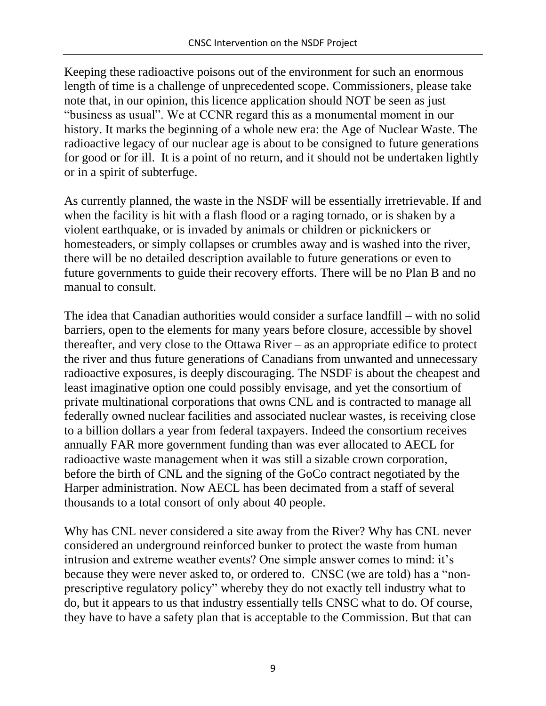Keeping these radioactive poisons out of the environment for such an enormous length of time is a challenge of unprecedented scope. Commissioners, please take note that, in our opinion, this licence application should NOT be seen as just "business as usual". We at CCNR regard this as a monumental moment in our history. It marks the beginning of a whole new era: the Age of Nuclear Waste. The radioactive legacy of our nuclear age is about to be consigned to future generations for good or for ill. It is a point of no return, and it should not be undertaken lightly or in a spirit of subterfuge.

As currently planned, the waste in the NSDF will be essentially irretrievable. If and when the facility is hit with a flash flood or a raging tornado, or is shaken by a violent earthquake, or is invaded by animals or children or picknickers or homesteaders, or simply collapses or crumbles away and is washed into the river, there will be no detailed description available to future generations or even to future governments to guide their recovery efforts. There will be no Plan B and no manual to consult.

The idea that Canadian authorities would consider a surface landfill – with no solid barriers, open to the elements for many years before closure, accessible by shovel thereafter, and very close to the Ottawa River – as an appropriate edifice to protect the river and thus future generations of Canadians from unwanted and unnecessary radioactive exposures, is deeply discouraging. The NSDF is about the cheapest and least imaginative option one could possibly envisage, and yet the consortium of private multinational corporations that owns CNL and is contracted to manage all federally owned nuclear facilities and associated nuclear wastes, is receiving close to a billion dollars a year from federal taxpayers. Indeed the consortium receives annually FAR more government funding than was ever allocated to AECL for radioactive waste management when it was still a sizable crown corporation, before the birth of CNL and the signing of the GoCo contract negotiated by the Harper administration. Now AECL has been decimated from a staff of several thousands to a total consort of only about 40 people.

Why has CNL never considered a site away from the River? Why has CNL never considered an underground reinforced bunker to protect the waste from human intrusion and extreme weather events? One simple answer comes to mind: it's because they were never asked to, or ordered to. CNSC (we are told) has a "nonprescriptive regulatory policy" whereby they do not exactly tell industry what to do, but it appears to us that industry essentially tells CNSC what to do. Of course, they have to have a safety plan that is acceptable to the Commission. But that can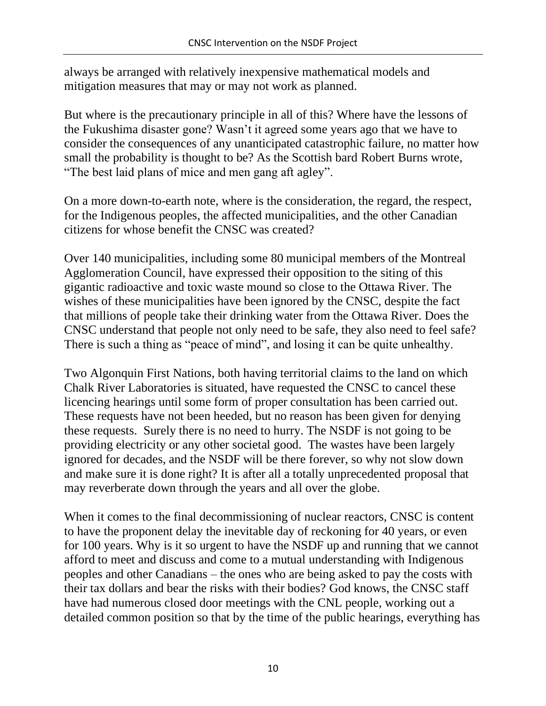always be arranged with relatively inexpensive mathematical models and mitigation measures that may or may not work as planned.

But where is the precautionary principle in all of this? Where have the lessons of the Fukushima disaster gone? Wasn't it agreed some years ago that we have to consider the consequences of any unanticipated catastrophic failure, no matter how small the probability is thought to be? As the Scottish bard Robert Burns wrote, "The best laid plans of mice and men gang aft agley".

On a more down-to-earth note, where is the consideration, the regard, the respect, for the Indigenous peoples, the affected municipalities, and the other Canadian citizens for whose benefit the CNSC was created?

Over 140 municipalities, including some 80 municipal members of the Montreal Agglomeration Council, have expressed their opposition to the siting of this gigantic radioactive and toxic waste mound so close to the Ottawa River. The wishes of these municipalities have been ignored by the CNSC, despite the fact that millions of people take their drinking water from the Ottawa River. Does the CNSC understand that people not only need to be safe, they also need to feel safe? There is such a thing as "peace of mind", and losing it can be quite unhealthy.

Two Algonquin First Nations, both having territorial claims to the land on which Chalk River Laboratories is situated, have requested the CNSC to cancel these licencing hearings until some form of proper consultation has been carried out. These requests have not been heeded, but no reason has been given for denying these requests. Surely there is no need to hurry. The NSDF is not going to be providing electricity or any other societal good. The wastes have been largely ignored for decades, and the NSDF will be there forever, so why not slow down and make sure it is done right? It is after all a totally unprecedented proposal that may reverberate down through the years and all over the globe.

When it comes to the final decommissioning of nuclear reactors, CNSC is content to have the proponent delay the inevitable day of reckoning for 40 years, or even for 100 years. Why is it so urgent to have the NSDF up and running that we cannot afford to meet and discuss and come to a mutual understanding with Indigenous peoples and other Canadians – the ones who are being asked to pay the costs with their tax dollars and bear the risks with their bodies? God knows, the CNSC staff have had numerous closed door meetings with the CNL people, working out a detailed common position so that by the time of the public hearings, everything has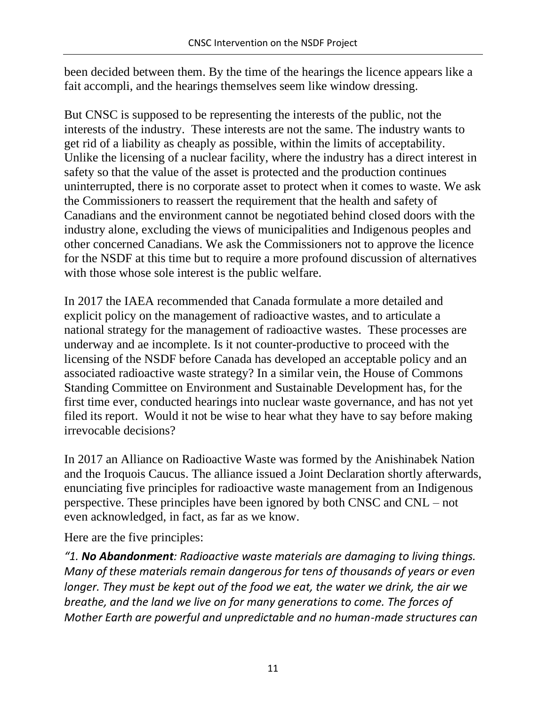been decided between them. By the time of the hearings the licence appears like a fait accompli, and the hearings themselves seem like window dressing.

But CNSC is supposed to be representing the interests of the public, not the interests of the industry. These interests are not the same. The industry wants to get rid of a liability as cheaply as possible, within the limits of acceptability. Unlike the licensing of a nuclear facility, where the industry has a direct interest in safety so that the value of the asset is protected and the production continues uninterrupted, there is no corporate asset to protect when it comes to waste. We ask the Commissioners to reassert the requirement that the health and safety of Canadians and the environment cannot be negotiated behind closed doors with the industry alone, excluding the views of municipalities and Indigenous peoples and other concerned Canadians. We ask the Commissioners not to approve the licence for the NSDF at this time but to require a more profound discussion of alternatives with those whose sole interest is the public welfare.

In 2017 the IAEA recommended that Canada formulate a more detailed and explicit policy on the management of radioactive wastes, and to articulate a national strategy for the management of radioactive wastes. These processes are underway and ae incomplete. Is it not counter-productive to proceed with the licensing of the NSDF before Canada has developed an acceptable policy and an associated radioactive waste strategy? In a similar vein, the House of Commons Standing Committee on Environment and Sustainable Development has, for the first time ever, conducted hearings into nuclear waste governance, and has not yet filed its report. Would it not be wise to hear what they have to say before making irrevocable decisions?

In 2017 an Alliance on Radioactive Waste was formed by the Anishinabek Nation and the Iroquois Caucus. The alliance issued a Joint Declaration shortly afterwards, enunciating five principles for radioactive waste management from an Indigenous perspective. These principles have been ignored by both CNSC and CNL – not even acknowledged, in fact, as far as we know.

Here are the five principles:

*"1. No Abandonment: Radioactive waste materials are damaging to living things. Many of these materials remain dangerous for tens of thousands of years or even longer. They must be kept out of the food we eat, the water we drink, the air we breathe, and the land we live on for many generations to come. The forces of Mother Earth are powerful and unpredictable and no human-made structures can*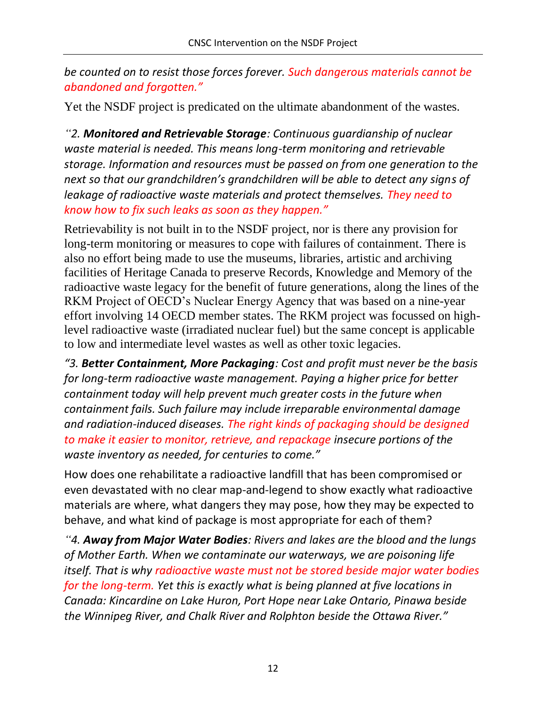*be counted on to resist those forces forever. Such dangerous materials cannot be abandoned and forgotten."* 

Yet the NSDF project is predicated on the ultimate abandonment of the wastes.

*"2. Monitored and Retrievable Storage: Continuous guardianship of nuclear waste material is needed. This means long-term monitoring and retrievable storage. Information and resources must be passed on from one generation to the next so that our grandchildren's grandchildren will be able to detect any signs of leakage of radioactive waste materials and protect themselves. They need to know how to fix such leaks as soon as they happen."* 

Retrievability is not built in to the NSDF project, nor is there any provision for long-term monitoring or measures to cope with failures of containment. There is also no effort being made to use the museums, libraries, artistic and archiving facilities of Heritage Canada to preserve Records, Knowledge and Memory of the radioactive waste legacy for the benefit of future generations, along the lines of the RKM Project of OECD's Nuclear Energy Agency that was based on a nine-year effort involving 14 OECD member states. The RKM project was focussed on highlevel radioactive waste (irradiated nuclear fuel) but the same concept is applicable to low and intermediate level wastes as well as other toxic legacies.

*"3. Better Containment, More Packaging: Cost and profit must never be the basis for long-term radioactive waste management. Paying a higher price for better containment today will help prevent much greater costs in the future when containment fails. Such failure may include irreparable environmental damage and radiation-induced diseases. The right kinds of packaging should be designed to make it easier to monitor, retrieve, and repackage insecure portions of the waste inventory as needed, for centuries to come."* 

How does one rehabilitate a radioactive landfill that has been compromised or even devastated with no clear map-and-legend to show exactly what radioactive materials are where, what dangers they may pose, how they may be expected to behave, and what kind of package is most appropriate for each of them?

*"4. Away from Major Water Bodies: Rivers and lakes are the blood and the lungs of Mother Earth. When we contaminate our waterways, we are poisoning life itself. That is why radioactive waste must not be stored beside major water bodies for the long-term. Yet this is exactly what is being planned at five locations in Canada: Kincardine on Lake Huron, Port Hope near Lake Ontario, Pinawa beside the Winnipeg River, and Chalk River and Rolphton beside the Ottawa River."*